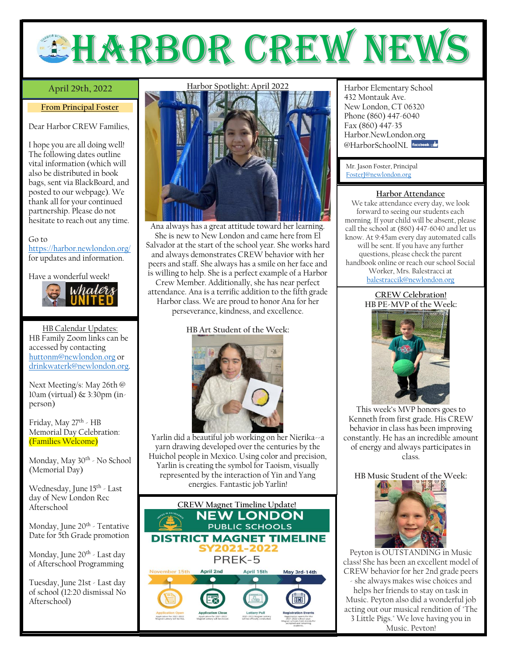# **EHARBOR CREW NEW**

# April 29th, 2022

### **From Principal Foster**

Dear Harbor CREW Families,

I hope you are all doing well! The following dates outline vital information (which will also be distributed in book bags, sent via BlackBoard, and posted to our webpage). We thank all for your continued partnership. Please do not hesitate to reach out any time.

#### Go to

<https://harbor.newlondon.org/> for updates and information.

Have a wonderful week!



HB Calendar Updates: HB Family Zoom links can be accessed by contacting [huttonm@newlondon.org](mailto:huttonm@newlondon.org) or [drinkwaterk@newlondon.org.](mailto:drinkwaterk@newlondon.org)

Next Meeting/s: May 26th @ 10am (virtual) & 3:30pm (inperson)

Friday, May 27<sup>th</sup> - HB Memorial Day Celebration: (Families Welcome)

Monday, May 30<sup>th</sup> - No School (Memorial Day)

Wednesday, June 15<sup>th</sup> - Last day of New London Rec Afterschool

Monday, June 20<sup>th</sup> - Tentative Date for 5th Grade promotion

Monday, June 20<sup>th</sup> - Last day of Afterschool Programming

Tuesday, June 21st - Last day of school (12:20 dismissal No Afterschool)

## **Harbor Spotlight: April 2022**



Ana always has a great attitude toward her learning. She is new to New London and came here from El Salvador at the start of the school year. She works hard and always demonstrates CREW behavior with her peers and staff. She always has a smile on her face and is willing to help. She is a perfect example of a Harbor Crew Member. Additionally, she has near perfect attendance. Ana is a terrific addition to the fifth grade

Harbor class. We are proud to honor Ana for her perseverance, kindness, and excellence.

# **HB Art Student of the Week:**



Yarlin did a beautiful job working on her Nierika--a yarn drawing developed over the centuries by the Huichol people in Mexico. Using color and precision, Yarlin is creating the symbol for Taoism, visually represented by the interaction of Yin and Yang energies. Fantastic job Yarlin!



**April 29th, 2022** Harbor Elementary School 432 Montauk Ave. New London, CT 06320 Phone (860) 447-6040 Fax (860) 447-35 Harbor.NewLondon.org @HarborSchoolNI facebook

Mr. Jason Foster, Principal [FosterJ@newlondon.org](mailto:FosterJ@newlondon.org)

# **Harbor Attendance**

We take attendance every day, we look forward to seeing our students each morning. If your child will be absent, please call the school at (860) 447-6040 and let us know. At 9:45am every day automated calls will be sent. If you have any further questions, please check the parent handbook online or reach our school Social Worker, Mrs. Balestracci at [balestraccik@newlondon.org](mailto:balestraccik@newlondon.org)

#### **CREW Celebration! HB PE-MVP of the Week:**



This week's MVP honors goes to Kenneth from first grade. His CREW behavior in class has been improving constantly. He has an incredible amount of energy and always participates in class.

**HB Music Student of the Week:** 



Peyton is OUTSTANDING in Music class! She has been an excellent model of CREW behavior for her 2nd grade peers - she always makes wise choices and helps her friends to stay on task in Music. Peyton also did a wonderful job acting out our musical rendition of "The 3 Little Pigs." We love having you in Music, Peyton!